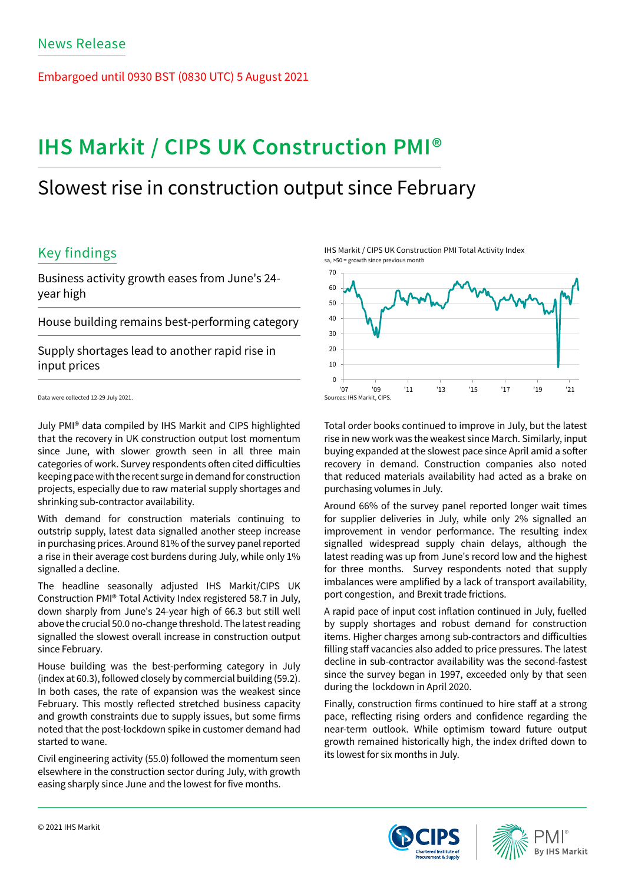Embargoed until 0930 BST (0830 UTC) 5 August 2021

# **IHS Markit / CIPS UK Construction PMI®**

## Slowest rise in construction output since February

## Key findings

Business activity growth eases from June's 24 year high

House building remains best-performing category

Supply shortages lead to another rapid rise in input prices

Data were collected 12-29 July 2021.

July PMI® data compiled by IHS Markit and CIPS highlighted that the recovery in UK construction output lost momentum since June, with slower growth seen in all three main categories of work. Survey respondents often cited difficulties keeping pace with the recent surge in demand for construction projects, especially due to raw material supply shortages and shrinking sub-contractor availability.

With demand for construction materials continuing to outstrip supply, latest data signalled another steep increase in purchasing prices. Around 81% of the survey panel reported a rise in their average cost burdens during July, while only 1% signalled a decline.

The headline seasonally adjusted IHS Markit/CIPS UK Construction PMI® Total Activity Index registered 58.7 in July, down sharply from June's 24-year high of 66.3 but still well above the crucial 50.0 no-change threshold. The latest reading signalled the slowest overall increase in construction output since February.

House building was the best-performing category in July (index at 60.3), followed closely by commercial building (59.2). In both cases, the rate of expansion was the weakest since February. This mostly reflected stretched business capacity and growth constraints due to supply issues, but some firms noted that the post-lockdown spike in customer demand had started to wane.

Civil engineering activity (55.0) followed the momentum seen elsewhere in the construction sector during July, with growth easing sharply since June and the lowest for five months.

IHS Markit / CIPS UK Construction PMI Total Activity Index sa, >50 = growth since previous month



Total order books continued to improve in July, but the latest rise in new work was the weakest since March. Similarly, input buying expanded at the slowest pace since April amid a softer recovery in demand. Construction companies also noted that reduced materials availability had acted as a brake on purchasing volumes in July.

Around 66% of the survey panel reported longer wait times for supplier deliveries in July, while only 2% signalled an improvement in vendor performance. The resulting index signalled widespread supply chain delays, although the latest reading was up from June's record low and the highest for three months. Survey respondents noted that supply imbalances were amplified by a lack of transport availability, port congestion, and Brexit trade frictions.

A rapid pace of input cost inflation continued in July, fuelled by supply shortages and robust demand for construction items. Higher charges among sub-contractors and difficulties filling staff vacancies also added to price pressures. The latest decline in sub-contractor availability was the second-fastest since the survey began in 1997, exceeded only by that seen during the lockdown in April 2020.

Finally, construction firms continued to hire staff at a strong pace, reflecting rising orders and confidence regarding the near-term outlook. While optimism toward future output growth remained historically high, the index drifted down to its lowest for six months in July.



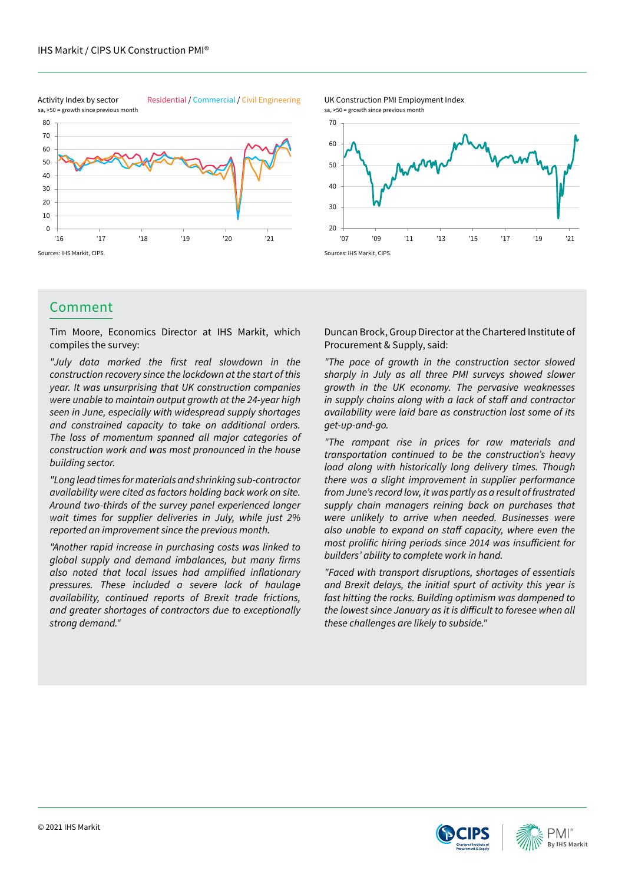Activity Index by sector Residential / Commercial / Civil Engineering



### Comment

Tim Moore, Economics Director at IHS Markit, which compiles the survey:

"July data marked the first real slowdown in the construction recovery since the lockdown at the start of this year. It was unsurprising that UK construction companies were unable to maintain output growth at the 24-year high seen in June, especially with widespread supply shortages and constrained capacity to take on additional orders. The loss of momentum spanned all major categories of construction work and was most pronounced in the house building sector.

"Long lead times for materials and shrinking sub-contractor availability were cited as factors holding back work on site. Around two-thirds of the survey panel experienced longer wait times for supplier deliveries in July, while just 2% reported an improvement since the previous month.

"Another rapid increase in purchasing costs was linked to global supply and demand imbalances, but many firms also noted that local issues had amplified inflationary pressures. These included a severe lack of haulage availability, continued reports of Brexit trade frictions, and greater shortages of contractors due to exceptionally strong demand."

'07 '09 '11 '13 '15 '17 '19 '21

Sources: IHS Markit, CIPS.

 $20$ 

30 40

50 60

70

UK Construction PMI Employment Index

sa, >50 = growth since previous month

Duncan Brock, Group Director at the Chartered Institute of Procurement & Supply, said:

"The pace of growth in the construction sector slowed sharply in July as all three PMI surveys showed slower growth in the UK economy. The pervasive weaknesses in supply chains along with a lack of staff and contractor availability were laid bare as construction lost some of its get-up-and-go.

"The rampant rise in prices for raw materials and transportation continued to be the construction's heavy load along with historically long delivery times. Though there was a slight improvement in supplier performance from June's record low, it was partly as a result of frustrated supply chain managers reining back on purchases that were unlikely to arrive when needed. Businesses were also unable to expand on staff capacity, where even the most prolific hiring periods since 2014 was insufficient for builders' ability to complete work in hand.

"Faced with transport disruptions, shortages of essentials and Brexit delays, the initial spurt of activity this year is fast hitting the rocks. Building optimism was dampened to the lowest since January as it is difficult to foresee when all these challenges are likely to subside."





sa, >50 = growth since previous month